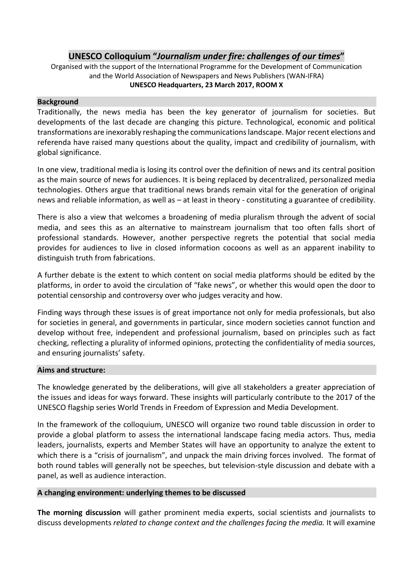## **UNESCO Colloquium "***Journalism under fire: challenges of our times***"**

Organised with the support of the International Programme for the Development of Communication and the World Association of Newspapers and News Publishers (WAN-IFRA) **UNESCO Headquarters, 23 March 2017, ROOM X**

#### **Background**

Traditionally, the news media has been the key generator of journalism for societies. But developments of the last decade are changing this picture. Technological, economic and political transformations are inexorably reshaping the communications landscape. Major recent elections and referenda have raised many questions about the quality, impact and credibility of journalism, with global significance.

In one view, traditional media is losing its control over the definition of news and its central position as the main source of news for audiences. It is being replaced by decentralized, personalized media technologies. Others argue that traditional news brands remain vital for the generation of original news and reliable information, as well as – at least in theory - constituting a guarantee of credibility.

There is also a view that welcomes a broadening of media pluralism through the advent of social media, and sees this as an alternative to mainstream journalism that too often falls short of professional standards. However, another perspective regrets the potential that social media provides for audiences to live in closed information cocoons as well as an apparent inability to distinguish truth from fabrications.

A further debate is the extent to which content on social media platforms should be edited by the platforms, in order to avoid the circulation of "fake news", or whether this would open the door to potential censorship and controversy over who judges veracity and how.

Finding ways through these issues is of great importance not only for media professionals, but also for societies in general, and governments in particular, since modern societies cannot function and develop without free, independent and professional journalism, based on principles such as fact checking, reflecting a plurality of informed opinions, protecting the confidentiality of media sources, and ensuring journalists' safety.

#### **Aims and structure:**

The knowledge generated by the deliberations, will give all stakeholders a greater appreciation of the issues and ideas for ways forward. These insights will particularly contribute to the 2017 of the UNESCO flagship series World Trends in Freedom of Expression and Media Development.

In the framework of the colloquium, UNESCO will organize two round table discussion in order to provide a global platform to assess the international landscape facing media actors. Thus, media leaders, journalists, experts and Member States will have an opportunity to analyze the extent to which there is a "crisis of journalism", and unpack the main driving forces involved. The format of both round tables will generally not be speeches, but television-style discussion and debate with a panel, as well as audience interaction.

#### **A changing environment: underlying themes to be discussed**

**The morning discussion** will gather prominent media experts, social scientists and journalists to discuss developments *related to change context and the challenges facing the media.* It will examine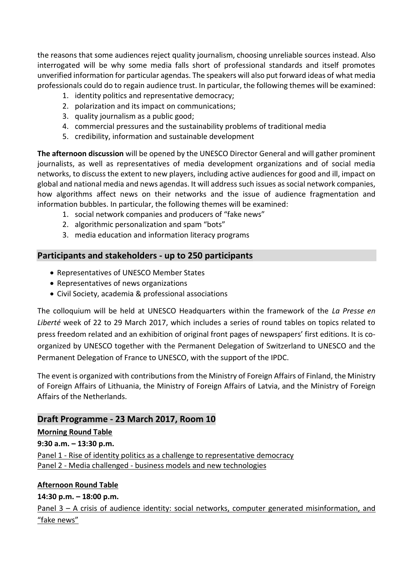the reasons that some audiences reject quality journalism, choosing unreliable sources instead. Also interrogated will be why some media falls short of professional standards and itself promotes unverified information for particular agendas. The speakers will also put forward ideas of what media professionals could do to regain audience trust. In particular, the following themes will be examined:

- 1. identity politics and representative democracy;
- 2. polarization and its impact on communications;
- 3. quality journalism as a public good;
- 4. commercial pressures and the sustainability problems of traditional media
- 5. credibility, information and sustainable development

**The afternoon discussion** will be opened by the UNESCO Director General and will gather prominent journalists, as well as representatives of media development organizations and of social media networks, to discuss the extent to new players, including active audiences for good and ill, impact on global and national media and news agendas. It will address such issues as social network companies, how algorithms affect news on their networks and the issue of audience fragmentation and information bubbles. In particular, the following themes will be examined:

- 1. social network companies and producers of "fake news"
- 2. algorithmic personalization and spam "bots"
- 3. media education and information literacy programs

## **Participants and stakeholders - up to 250 participants**

- Representatives of UNESCO Member States
- Representatives of news organizations
- Civil Society, academia & professional associations

The colloquium will be held at UNESCO Headquarters within the framework of the *La Presse en Liberté* week of 22 to 29 March 2017, which includes a series of round tables on topics related to press freedom related and an exhibition of original front pages of newspapers' first editions. It is coorganized by UNESCO together with the Permanent Delegation of Switzerland to UNESCO and the Permanent Delegation of France to UNESCO, with the support of the IPDC.

The event is organized with contributions from the Ministry of Foreign Affairs of Finland, the Ministry of Foreign Affairs of Lithuania, the Ministry of Foreign Affairs of Latvia, and the Ministry of Foreign Affairs of the Netherlands.

## **Draft Programme - 23 March 2017, Room 10**

## **Morning Round Table 9:30 a.m. – 13:30 p.m.** Panel 1 - Rise of identity politics as a challenge to representative democracy

Panel 2 - Media challenged - business models and new technologies

# **Afternoon Round Table**

**14:30 p.m. – 18:00 p.m.**  Panel 3 – A crisis of audience identity: social networks, computer generated misinformation, and "fake news"